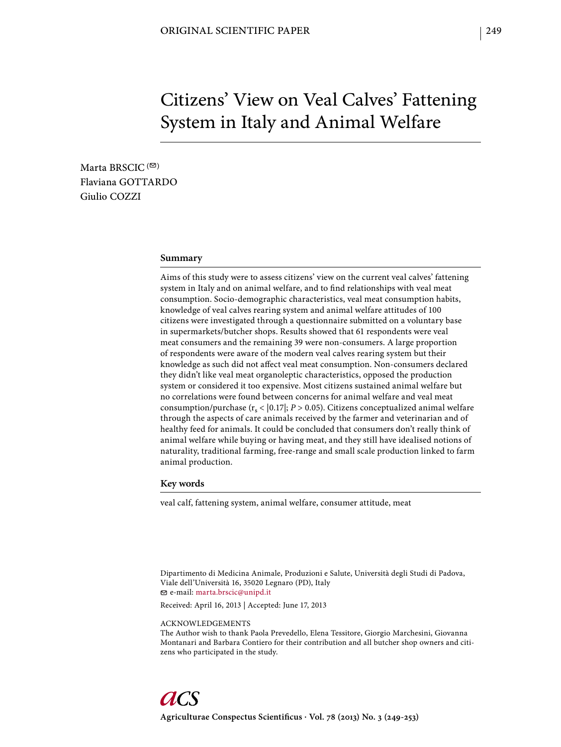# Citizens' View on Veal Calves' Fattening System in Italy and Animal Welfare

Marta BRSCIC  $($ <sup> $\odot)$ </sup> Flaviana GOTTARDO Giulio COZZI

#### **Summary**

Aims of this study were to assess citizens' view on the current veal calves' fattening system in Italy and on animal welfare, and to find relationships with veal meat consumption. Socio-demographic characteristics, veal meat consumption habits, knowledge of veal calves rearing system and animal welfare attitudes of 100 citizens were investigated through a questionnaire submitted on a voluntary base in supermarkets/butcher shops. Results showed that 61 respondents were veal meat consumers and the remaining 39 were non-consumers. A large proportion of respondents were aware of the modern veal calves rearing system but their knowledge as such did not affect veal meat consumption. Non-consumers declared they didn't like veal meat organoleptic characteristics, opposed the production system or considered it too expensive. Most citizens sustained animal welfare but no correlations were found between concerns for animal welfare and veal meat consumption/purchase  $(r_s < |0.17|; P > 0.05)$ . Citizens conceptualized animal welfare through the aspects of care animals received by the farmer and veterinarian and of healthy feed for animals. It could be concluded that consumers don't really think of animal welfare while buying or having meat, and they still have idealised notions of naturality, traditional farming, free-range and small scale production linked to farm animal production.

#### **Key words**

veal calf, fattening system, animal welfare, consumer attitude, meat

Dipartimento di Medicina Animale, Produzioni e Salute, Università degli Studi di Padova, Viale dell'Università 16, 35020 Legnaro (PD), Italy e-mail: marta.brscic@unipd.it

Received: April 16, 2013 | Accepted: June 17, 2013

ACKNOWLEDGEMENTS

The Author wish to thank Paola Prevedello, Elena Tessitore, Giorgio Marchesini, Giovanna Montanari and Barbara Contiero for their contribution and all butcher shop owners and citizens who participated in the study.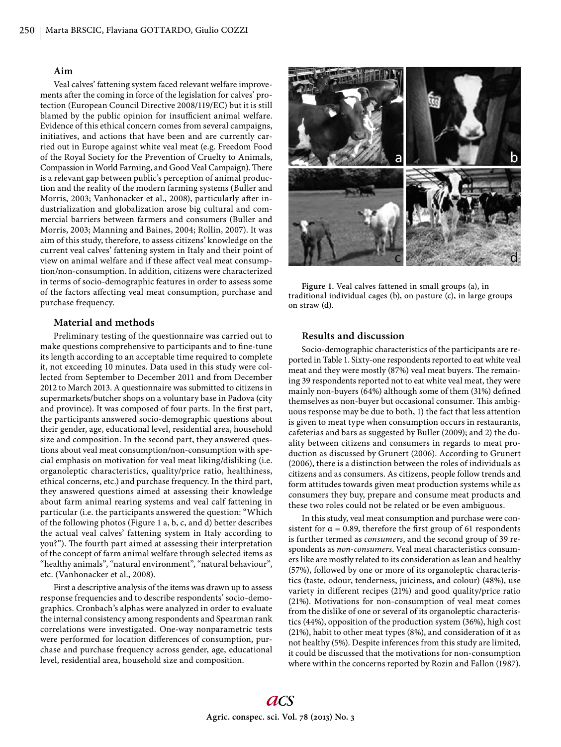#### **Aim**

Veal calves' fattening system faced relevant welfare improvements after the coming in force of the legislation for calves' protection (European Council Directive 2008/119/EC) but it is still blamed by the public opinion for insufficient animal welfare. Evidence of this ethical concern comes from several campaigns, initiatives, and actions that have been and are currently carried out in Europe against white veal meat (e.g. Freedom Food of the Royal Society for the Prevention of Cruelty to Animals, Compassion in World Farming, and Good Veal Campaign). There is a relevant gap between public's perception of animal production and the reality of the modern farming systems (Buller and Morris, 2003; Vanhonacker et al., 2008), particularly after industrialization and globalization arose big cultural and commercial barriers between farmers and consumers (Buller and Morris, 2003; Manning and Baines, 2004; Rollin, 2007). It was aim of this study, therefore, to assess citizens' knowledge on the current veal calves' fattening system in Italy and their point of view on animal welfare and if these affect veal meat consumption/non-consumption. In addition, citizens were characterized in terms of socio-demographic features in order to assess some of the factors affecting veal meat consumption, purchase and purchase frequency.

#### **Material and methods**

Preliminary testing of the questionnaire was carried out to make questions comprehensive to participants and to fine-tune its length according to an acceptable time required to complete it, not exceeding 10 minutes. Data used in this study were collected from September to December 2011 and from December 2012 to March 2013. A questionnaire was submitted to citizens in supermarkets/butcher shops on a voluntary base in Padova (city and province). It was composed of four parts. In the first part, the participants answered socio-demographic questions about their gender, age, educational level, residential area, household size and composition. In the second part, they answered questions about veal meat consumption/non-consumption with special emphasis on motivation for veal meat liking/disliking (i.e. organoleptic characteristics, quality/price ratio, healthiness, ethical concerns, etc.) and purchase frequency. In the third part, they answered questions aimed at assessing their knowledge about farm animal rearing systems and veal calf fattening in particular (i.e. the participants answered the question: "Which of the following photos (Figure 1 a, b, c, and d) better describes the actual veal calves' fattening system in Italy according to you?"). The fourth part aimed at assessing their interpretation of the concept of farm animal welfare through selected items as "healthy animals", "natural environment", "natural behaviour", etc. (Vanhonacker et al., 2008).

First a descriptive analysis of the items was drawn up to assess response frequencies and to describe respondents' socio-demographics. Cronbach's alphas were analyzed in order to evaluate the internal consistency among respondents and Spearman rank correlations were investigated. One-way nonparametric tests were performed for location differences of consumption, purchase and purchase frequency across gender, age, educational level, residential area, household size and composition.



**Figure 1.** Veal calves fattened in small groups (a), in traditional individual cages (b), on pasture (c), in large groups on straw (d).

### **Results and discussion**

Socio-demographic characteristics of the participants are reported in Table 1. Sixty-one respondents reported to eat white veal meat and they were mostly (87%) veal meat buyers. The remaining 39 respondents reported not to eat white veal meat, they were mainly non-buyers (64%) although some of them (31%) defined themselves as non-buyer but occasional consumer. This ambiguous response may be due to both, 1) the fact that less attention is given to meat type when consumption occurs in restaurants, cafeterias and bars as suggested by Buller (2009); and 2) the duality between citizens and consumers in regards to meat production as discussed by Grunert (2006). According to Grunert (2006), there is a distinction between the roles of individuals as citizens and as consumers. As citizens, people follow trends and form attitudes towards given meat production systems while as consumers they buy, prepare and consume meat products and these two roles could not be related or be even ambiguous.

In this study, veal meat consumption and purchase were consistent for  $\alpha$  = 0.89, therefore the first group of 61 respondents is further termed as *consumers*, and the second group of 39 respondents as *non-consumers*. Veal meat characteristics consumers like are mostly related to its consideration as lean and healthy (57%), followed by one or more of its organoleptic characteristics (taste, odour, tenderness, juiciness, and colour) (48%), use variety in different recipes (21%) and good quality/price ratio (21%). Motivations for non-consumption of veal meat comes from the dislike of one or several of its organoleptic characteristics (44%), opposition of the production system (36%), high cost (21%), habit to other meat types (8%), and consideration of it as not healthy (5%). Despite inferences from this study are limited, it could be discussed that the motivations for non-consumption where within the concerns reported by Rozin and Fallon (1987).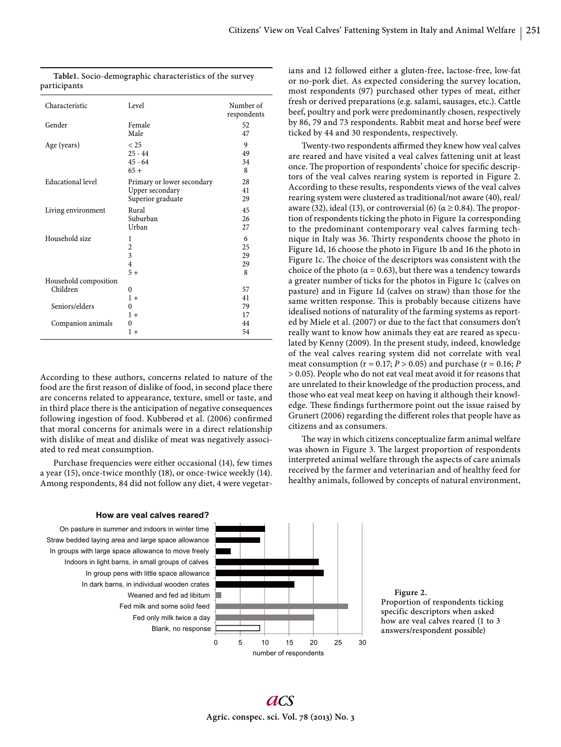ticked by 44 and 30 respondents, respectively.

ians and 12 followed either a gluten-free, lactose-free, low-fat or no-pork diet. As expected considering the survey location, most respondents (97) purchased other types of meat, either fresh or derived preparations (e.g. salami, sausages, etc.). Cattle beef, poultry and pork were predominantly chosen, respectively by 86, 79 and 73 respondents. Rabbit meat and horse beef were

Twenty-two respondents affirmed they knew how veal calves are reared and have visited a veal calves fattening unit at least once. The proportion of respondents' choice for specific descriptors of the veal calves rearing system is reported in Figure 2. According to these results, respondents views of the veal calves rearing system were clustered as traditional/not aware (40), real/ aware (32), ideal (13), or controversial (6) ( $\alpha \ge 0.84$ ). The proportion of respondents ticking the photo in Figure 1a corresponding to the predominant contemporary veal calves farming technique in Italy was 36. Thirty respondents choose the photo in Figure 1d, 16 choose the photo in Figure 1b and 16 the photo in Figure 1c. The choice of the descriptors was consistent with the choice of the photo ( $\alpha$  = 0.63), but there was a tendency towards a greater number of ticks for the photos in Figure 1c (calves on pasture) and in Figure 1d (calves on straw) than those for the same written response. This is probably because citizens have idealised notions of naturality of the farming systems as reported by Miele et al. (2007) or due to the fact that consumers don't really want to know how animals they eat are reared as speculated by Kenny (2009). In the present study, indeed, knowledge of the veal calves rearing system did not correlate with veal meat consumption ( $r = 0.17$ ;  $P > 0.05$ ) and purchase ( $r = 0.16$ ;  $P$ > 0.05). People who do not eat veal meat avoid it for reasons that are unrelated to their knowledge of the production process, and those who eat veal meat keep on having it although their knowledge. These findings furthermore point out the issue raised by Grunert (2006) regarding the different roles that people have as

| Characteristic                      | Level                                                                    | Number of<br>respondents |
|-------------------------------------|--------------------------------------------------------------------------|--------------------------|
| Gender                              | Female<br>Male                                                           | 52<br>47                 |
| Age (years)                         | < 25<br>$25 - 44$<br>$45 - 64$<br>$65+$                                  | 9<br>49<br>34<br>8       |
| Educational level                   | Primary or lower secondary<br>Upper secondary<br>Superior graduate       | 28<br>41<br>29           |
| Living environment                  | Rural<br>Suburban<br>Urban                                               | 45<br>26<br>27           |
| Household size                      | 1<br>$\overline{c}$<br>$\overline{3}$<br>$\overline{\mathbf{4}}$<br>$5+$ | 6<br>25<br>29<br>29<br>8 |
| Household composition<br>Children   | $\theta$<br>$1 +$                                                        | 57<br>41                 |
| Seniors/elders<br>Companion animals | 0<br>$1+$<br>$\Omega$                                                    | 79<br>17<br>44           |
|                                     | $1+$                                                                     | 54                       |

|              |  | Table1. Socio-demographic characteristics of the survey |  |
|--------------|--|---------------------------------------------------------|--|
| participants |  |                                                         |  |

According to these authors, concerns related to nature of the food are the first reason of dislike of food, in second place there are concerns related to appearance, texture, smell or taste, and in third place there is the anticipation of negative consequences following ingestion of food. Kubberød et al. (2006) confirmed that moral concerns for animals were in a direct relationship with dislike of meat and dislike of meat was negatively associated to red meat consumption.

Purchase frequencies were either occasional (14), few times a year (15), once-twice monthly (18), or once-twice weekly (14). Among respondents, 84 did not follow any diet, 4 were vegetar-

**How are veal calves reared?**

In dark barns, in individual wooden crates In group pens with little space allowance Indoors in light barns, in small groups of calves In groups with large space allowance to move freely Straw bedded laying area and large space allowance On pasture in summer and indoors in winter time

0 5 10 15 20 25 30 Blank, no response Fed only milk twice a day Fed milk and some solid feed Weaned and fed ad libitum

number of respondents

citizens and as consumers.



The way in which citizens conceptualize farm animal welfare was shown in Figure 3. The largest proportion of respondents interpreted animal welfare through the aspects of care animals received by the farmer and veterinarian and of healthy feed for healthy animals, followed by concepts of natural environment,

## **ACS Agric. conspec. sci. Vol. 78 (2013) No. 3**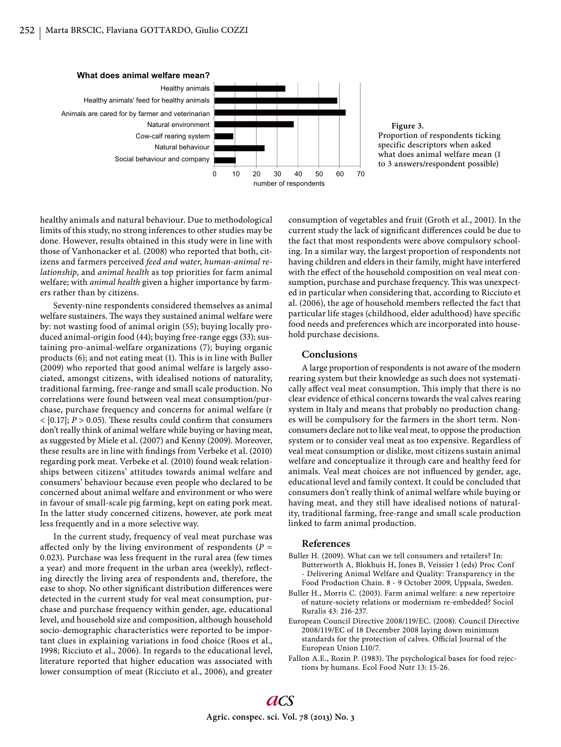

healthy animals and natural behaviour. Due to methodological limits of this study, no strong inferences to other studies may be done. However, results obtained in this study were in line with those of Vanhonacker et al. (2008) who reported that both, citizens and farmers perceived *feed and water*, *human-animal relationship*, and *animal health* as top priorities for farm animal welfare; with *animal health* given a higher importance by farmers rather than by citizens.

Seventy-nine respondents considered themselves as animal welfare sustainers. The ways they sustained animal welfare were by: not wasting food of animal origin (55); buying locally produced animal-origin food (44); buying free-range eggs (33); sustaining pro-animal-welfare organizations (7); buying organic products (6); and not eating meat (1). This is in line with Buller (2009) who reported that good animal welfare is largely associated, amongst citizens, with idealised notions of naturality, traditional farming, free-range and small scale production. No correlations were found between veal meat consumption/purchase, purchase frequency and concerns for animal welfare (r  $<$  [0.17]; *P*  $>$  0.05). These results could confirm that consumers don't really think of animal welfare while buying or having meat, as suggested by Miele et al. (2007) and Kenny (2009). Moreover, these results are in line with findings from Verbeke et al. (2010) regarding pork meat. Verbeke et al. (2010) found weak relationships between citizens' attitudes towards animal welfare and consumers' behaviour because even people who declared to be concerned about animal welfare and environment or who were in favour of small-scale pig farming, kept on eating pork meat. In the latter study concerned citizens, however, ate pork meat less frequently and in a more selective way.

In the current study, frequency of veal meat purchase was affected only by the living environment of respondents ( $P =$ 0.023). Purchase was less frequent in the rural area (few times a year) and more frequent in the urban area (weekly), reflecting directly the living area of respondents and, therefore, the ease to shop. No other significant distribution differences were detected in the current study for veal meat consumption, purchase and purchase frequency within gender, age, educational level, and household size and composition, although household socio-demographic characteristics were reported to be important clues in explaining variations in food choice (Roos et al., 1998; Ricciuto et al., 2006). In regards to the educational level, literature reported that higher education was associated with lower consumption of meat (Ricciuto et al., 2006), and greater

consumption of vegetables and fruit (Groth et al., 2001). In the current study the lack of significant differences could be due to the fact that most respondents were above compulsory schooling. In a similar way, the largest proportion of respondents not having children and elders in their family, might have interfered with the effect of the household composition on veal meat consumption, purchase and purchase frequency. This was unexpected in particular when considering that, according to Ricciuto et al. (2006), the age of household members reflected the fact that particular life stages (childhood, elder adulthood) have specific food needs and preferences which are incorporated into household purchase decisions.

#### **Conclusions**

A large proportion of respondents is not aware of the modern rearing system but their knowledge as such does not systematically affect veal meat consumption. This imply that there is no clear evidence of ethical concerns towards the veal calves rearing system in Italy and means that probably no production changes will be compulsory for the farmers in the short term. Nonconsumers declare not to like veal meat, to oppose the production system or to consider veal meat as too expensive. Regardless of veal meat consumption or dislike, most citizens sustain animal welfare and conceptualize it through care and healthy feed for animals. Veal meat choices are not influenced by gender, age, educational level and family context. It could be concluded that consumers don't really think of animal welfare while buying or having meat, and they still have idealised notions of naturality, traditional farming, free-range and small scale production linked to farm animal production.

#### **References**

- Buller H. (2009). What can we tell consumers and retailers? In: Butterworth A, Blokhuis H, Jones B, Veissier I (eds) Proc Conf - Delivering Animal Welfare and Quality: Transparency in the Food Production Chain. 8 - 9 October 2009, Uppsala, Sweden.
- Buller H., Morris C. (2003). Farm animal welfare: a new repertoire of nature-society relations or modernism re-embedded? Sociol Ruralis 43: 216-237.
- European Council Directive 2008/119/EC. (2008). Council Directive 2008/119/EC of 18 December 2008 laying down minimum standards for the protection of calves. Official Journal of the European Union L10/7.
- Fallon A.E., Rozin P. (1983). The psychological bases for food rejections by humans. Ecol Food Nutr 13: 15-26.